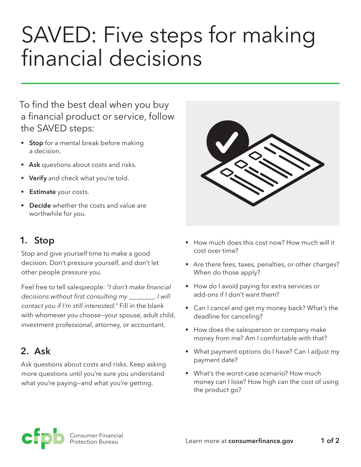# SAVED: Five steps for making financial decisions

To find the best deal when you buy a financial product or service, follow the SAVED steps:

- **Stop** for a mental break before making a decision.
- **Ask** questions about costs and risks.
- **Verify** and check what you're told.
- **Estimate** your costs.
- **Decide** whether the costs and value are worthwhile for you.

#### **1. Stop**

Stop and give yourself time to make a good decision. Don't pressure yourself, and don't let other people pressure you.

Feel free to tell salespeople: *"I don't make financial decisions without first consulting my* \_\_\_\_\_\_\_\_*. I will contact you if I'm still interested."* Fill in the blank with whomever you choose—your spouse, adult child, investment professional, attorney, or accountant.

## **2. Ask**

Ask questions about costs and risks. Keep asking more questions until you're sure you understand what you're paying—and what you're getting.

| $\hat{\phantom{a}}$<br>⊂<br>◠ |
|-------------------------------|
|                               |

- § How much does this cost now? How much will it cost over time?
- Are there fees, taxes, penalties, or other charges? When do those apply?
- How do I avoid paying for extra services or add-ons if I don't want them?
- Can I cancel and get my money back? What's the deadline for canceling?
- How does the salesperson or company make money from me? Am I comfortable with that?
- What payment options do I have? Can I adjust my payment date?
- What's the worst-case scenario? How much money can I lose? How high can the cost of using the product go?